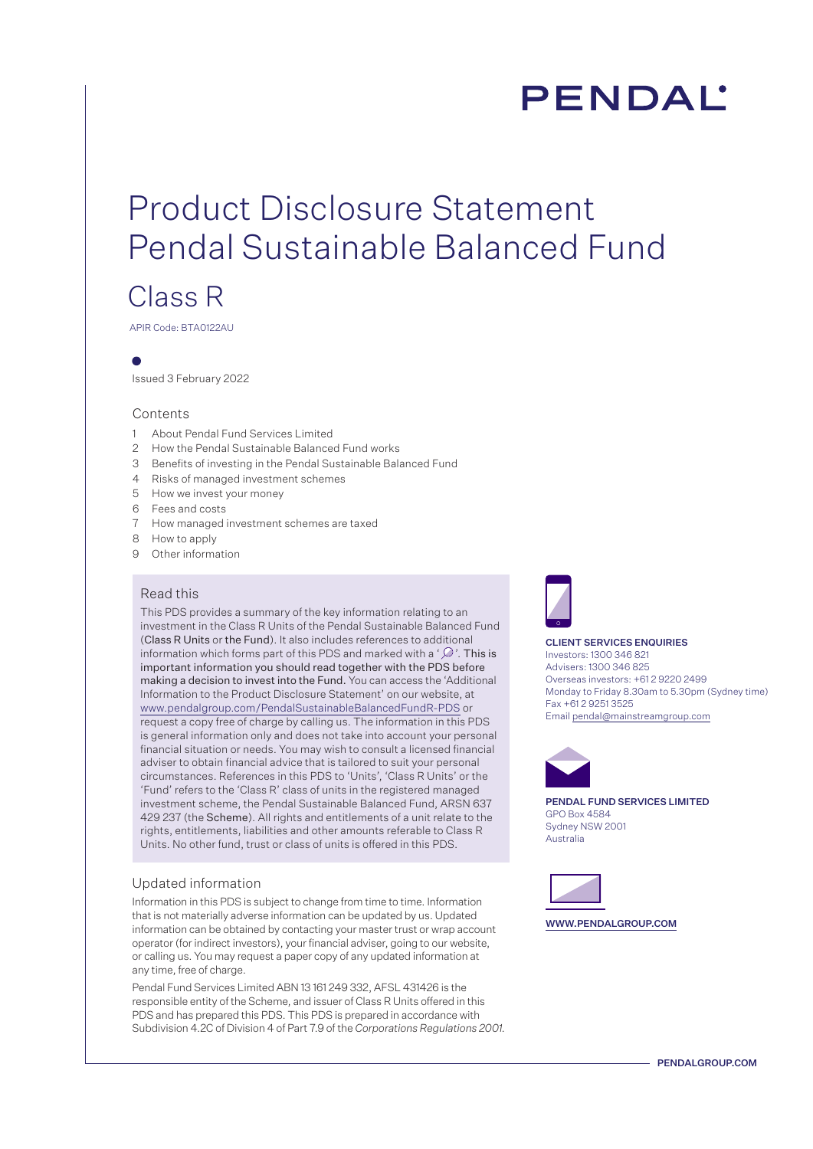# **PENDAL**

# Product Disclosure Statement Pendal Sustainable Balanced Fund

## Class R

APIR Code: BTA0122AU

Issued 3 February 2022

### Contents

- 1 About Pendal Fund Services Limited
- 2 How the Pendal Sustainable Balanced Fund works
- 3 Benefits of investing in the Pendal Sustainable Balanced Fund
- 4 Risks of managed investment schemes
- 5 How we invest your money
- 6 Fees and costs
- 7 How managed investment schemes are taxed
- 8 How to apply
- 9 Other information

### Read this

This PDS provides a summary of the key information relating to an investment in the Class R Units of the Pendal Sustainable Balanced Fund (Class R Units or the Fund). It also includes references to additional information which forms part of this PDS and marked with a ' $\mathcal{D}$ '. This is important information you should read together with the PDS before making a decision to invest into the Fund. You can access the 'Additional Information to the Product Disclosure Statement' on our website, at <www.pendalgroup.com/PendalSustainableBalancedFundR-PDS> or request a copy free of charge by calling us. The information in this PDS is general information only and does not take into account your personal financial situation or needs. You may wish to consult a licensed financial adviser to obtain financial advice that is tailored to suit your personal circumstances. References in this PDS to 'Units', 'Class R Units' or the 'Fund' refers to the 'Class R' class of units in the registered managed investment scheme, the Pendal Sustainable Balanced Fund, ARSN 637 429 237 (the Scheme). All rights and entitlements of a unit relate to the rights, entitlements, liabilities and other amounts referable to Class R Units. No other fund, trust or class of units is offered in this PDS.

### Updated information

Information in this PDS is subject to change from time to time. Information that is not materially adverse information can be updated by us. Updated information can be obtained by contacting your master trust or wrap account operator (for indirect investors), your financial adviser, going to our website, or calling us. You may request a paper copy of any updated information at any time, free of charge.

Pendal Fund Services Limited ABN 13 161 249 332, AFSL 431426 is the responsible entity of the Scheme, and issuer of Class R Units offered in this PDS and has prepared this PDS. This PDS is prepared in accordance with Subdivision 4.2C of Division 4 of Part 7.9 of the *Corporations Regulations 2001.* 



#### CLIENT SERVICES ENQUIRIES

Investors: 1300 346 821 Advisers: 1300 346 825 Overseas investors: +61 2 9220 2499 Monday to Friday 8.30am to 5.30pm (Sydney time) Fax +61 2 9251 3525 Email pendal@mainstreamgroup.com



PENDAL FUND SERVICES LIMITED GPO Box 4584 Sydney NSW 2001 Australia



WWW.PENDALGROUP.COM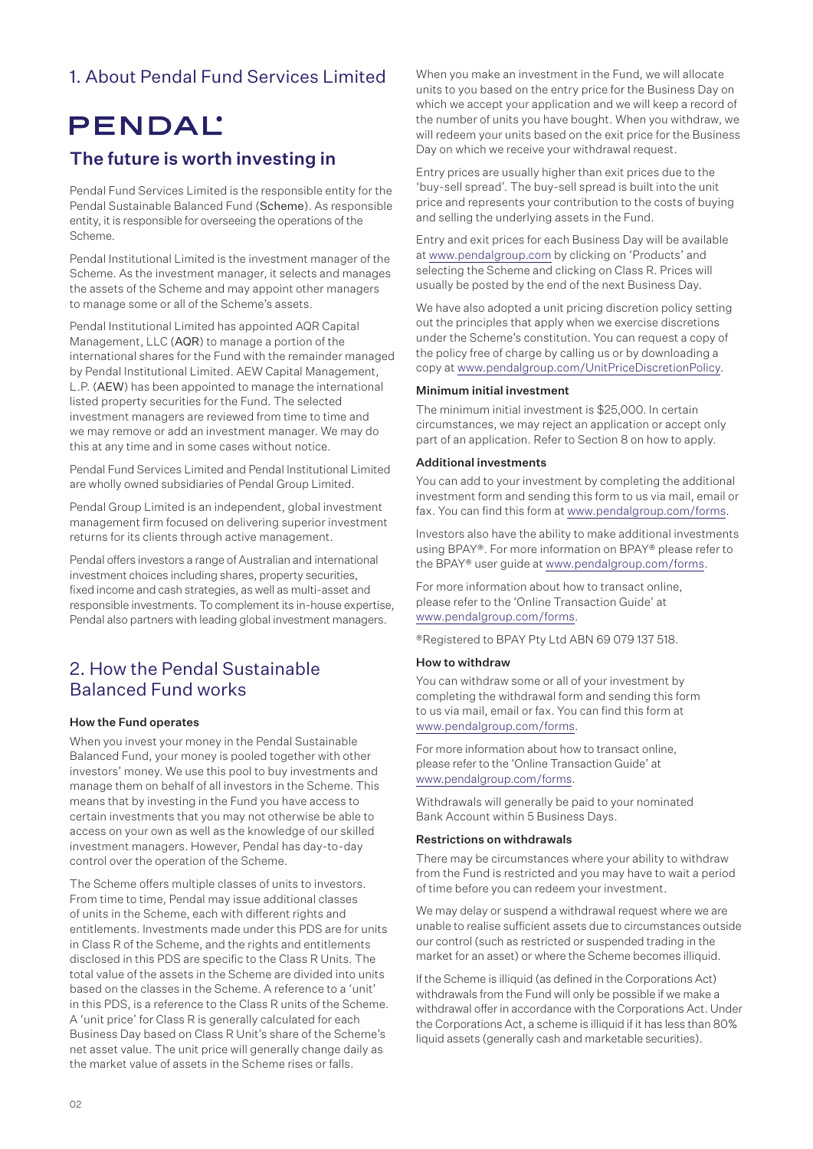## 1. About Pendal Fund Services Limited

## **PENDAL**

## The future is worth investing in

Pendal Fund Services Limited is the responsible entity for the Pendal Sustainable Balanced Fund (Scheme). As responsible entity, it is responsible for overseeing the operations of the Scheme.

Pendal Institutional Limited is the investment manager of the Scheme. As the investment manager, it selects and manages the assets of the Scheme and may appoint other managers to manage some or all of the Scheme's assets.

Pendal Institutional Limited has appointed AQR Capital Management, LLC (AQR) to manage a portion of the international shares for the Fund with the remainder managed by Pendal Institutional Limited. AEW Capital Management, L.P. (AEW) has been appointed to manage the international listed property securities for the Fund. The selected investment managers are reviewed from time to time and we may remove or add an investment manager. We may do this at any time and in some cases without notice.

Pendal Fund Services Limited and Pendal Institutional Limited are wholly owned subsidiaries of Pendal Group Limited.

Pendal Group Limited is an independent, global investment management firm focused on delivering superior investment returns for its clients through active management.

Pendal offers investors a range of Australian and international investment choices including shares, property securities, fixed income and cash strategies, as well as multi-asset and responsible investments. To complement its in-house expertise, Pendal also partners with leading global investment managers.

### 2. How the Pendal Sustainable Balanced Fund works

### How the Fund operates

When you invest your money in the Pendal Sustainable Balanced Fund, your money is pooled together with other investors' money. We use this pool to buy investments and manage them on behalf of all investors in the Scheme. This means that by investing in the Fund you have access to certain investments that you may not otherwise be able to access on your own as well as the knowledge of our skilled investment managers. However, Pendal has day-to-day control over the operation of the Scheme.

The Scheme offers multiple classes of units to investors. From time to time, Pendal may issue additional classes of units in the Scheme, each with different rights and entitlements. Investments made under this PDS are for units in Class R of the Scheme, and the rights and entitlements disclosed in this PDS are specific to the Class R Units. The total value of the assets in the Scheme are divided into units based on the classes in the Scheme. A reference to a 'unit' in this PDS, is a reference to the Class R units of the Scheme. A 'unit price' for Class R is generally calculated for each Business Day based on Class R Unit's share of the Scheme's net asset value. The unit price will generally change daily as the market value of assets in the Scheme rises or falls.

When you make an investment in the Fund, we will allocate units to you based on the entry price for the Business Day on which we accept your application and we will keep a record of the number of units you have bought. When you withdraw, we will redeem your units based on the exit price for the Business Day on which we receive your withdrawal request.

Entry prices are usually higher than exit prices due to the 'buy-sell spread'. The buy-sell spread is built into the unit price and represents your contribution to the costs of buying and selling the underlying assets in the Fund.

Entry and exit prices for each Business Day will be available at www.pendalgroup.com by clicking on 'Products' and selecting the Scheme and clicking on Class R. Prices will usually be posted by the end of the next Business Day.

We have also adopted a unit pricing discretion policy setting out the principles that apply when we exercise discretions under the Scheme's constitution. You can request a copy of the policy free of charge by calling us or by downloading a copy at www.pendalgroup.com/UnitPriceDiscretionPolicy.

### Minimum initial investment

The minimum initial investment is \$25,000. In certain circumstances, we may reject an application or accept only part of an application. Refer to Section 8 on how to apply.

#### Additional investments

You can add to your investment by completing the additional investment form and sending this form to us via mail, email or fax. You can find this form at www.pendalgroup.com/forms.

Investors also have the ability to make additional investments using BPAY®. For more information on BPAY® please refer to the BPAY® user guide at www.pendalgroup.com/forms.

For more information about how to transact online, please refer to the 'Online Transaction Guide' at www.pendalgroup.com/forms.

®Registered to BPAY Pty Ltd ABN 69 079 137 518.

#### How to withdraw

You can withdraw some or all of your investment by completing the withdrawal form and sending this form to us via mail, email or fax. You can find this form at www.pendalgroup.com/forms.

For more information about how to transact online, please refer to the 'Online Transaction Guide' at www.pendalgroup.com/forms.

Withdrawals will generally be paid to your nominated Bank Account within 5 Business Days.

#### Restrictions on withdrawals

There may be circumstances where your ability to withdraw from the Fund is restricted and you may have to wait a period of time before you can redeem your investment.

We may delay or suspend a withdrawal request where we are unable to realise sufficient assets due to circumstances outside our control (such as restricted or suspended trading in the market for an asset) or where the Scheme becomes illiquid.

If the Scheme is illiquid (as defined in the Corporations Act) withdrawals from the Fund will only be possible if we make a withdrawal offer in accordance with the Corporations Act. Under the Corporations Act, a scheme is illiquid if it has less than 80% liquid assets (generally cash and marketable securities).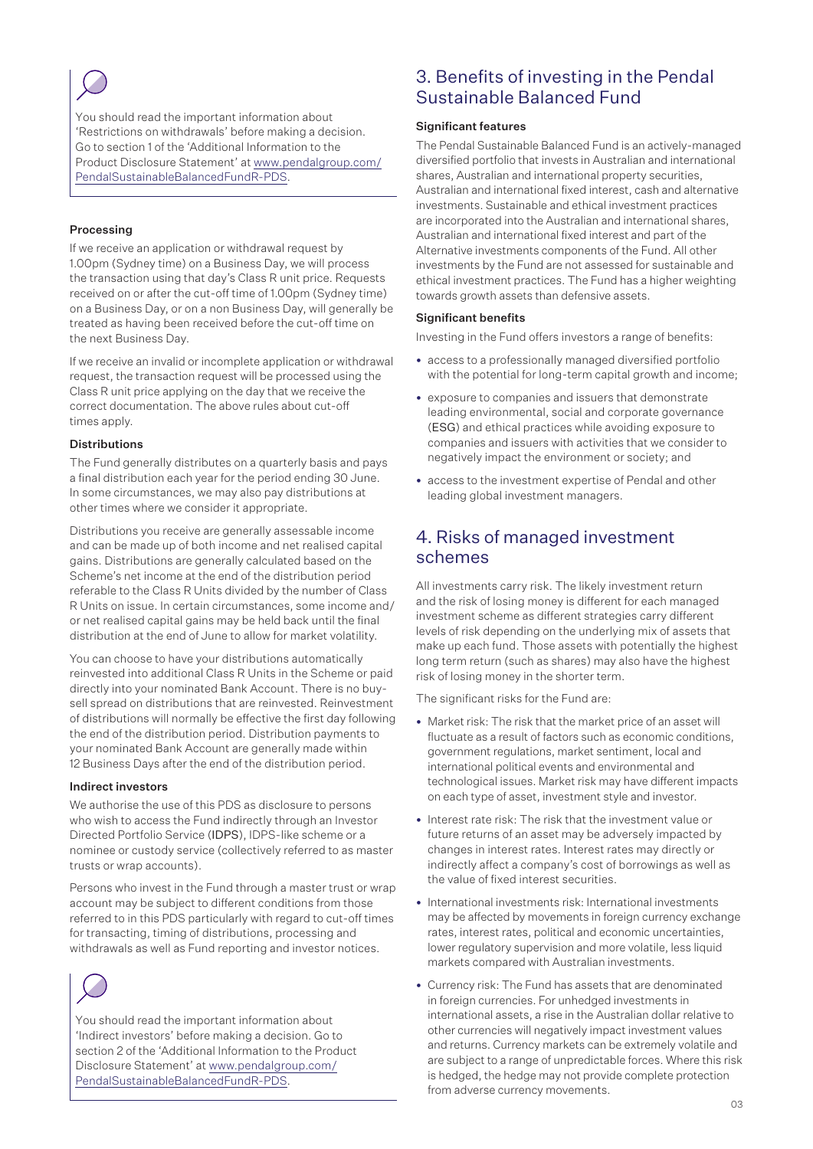You should read the important information about 'Restrictions on withdrawals' before making a decision. Go to section 1 of the 'Additional Information to the Product Disclosure Statement' at [www.pendalgroup.com/](www.pendalgroup.com/PendalSustainableBalancedFundR-PDS) [PendalSustainableBalancedFundR-PDS](www.pendalgroup.com/PendalSustainableBalancedFundR-PDS).

### Processing

If we receive an application or withdrawal request by 1.00pm (Sydney time) on a Business Day, we will process the transaction using that day's Class R unit price. Requests received on or after the cut-off time of 1.00pm (Sydney time) on a Business Day, or on a non Business Day, will generally be treated as having been received before the cut-off time on the next Business Day.

If we receive an invalid or incomplete application or withdrawal request, the transaction request will be processed using the Class R unit price applying on the day that we receive the correct documentation. The above rules about cut-off times apply.

### Distributions

The Fund generally distributes on a quarterly basis and pays a final distribution each year for the period ending 30 June. In some circumstances, we may also pay distributions at other times where we consider it appropriate.

Distributions you receive are generally assessable income and can be made up of both income and net realised capital gains. Distributions are generally calculated based on the Scheme's net income at the end of the distribution period referable to the Class R Units divided by the number of Class R Units on issue. In certain circumstances, some income and/ or net realised capital gains may be held back until the final distribution at the end of June to allow for market volatility.

You can choose to have your distributions automatically reinvested into additional Class R Units in the Scheme or paid directly into your nominated Bank Account. There is no buysell spread on distributions that are reinvested. Reinvestment of distributions will normally be effective the first day following the end of the distribution period. Distribution payments to your nominated Bank Account are generally made within 12 Business Days after the end of the distribution period.

### Indirect investors

We authorise the use of this PDS as disclosure to persons who wish to access the Fund indirectly through an Investor Directed Portfolio Service (IDPS), IDPS-like scheme or a nominee or custody service (collectively referred to as master trusts or wrap accounts).

Persons who invest in the Fund through a master trust or wrap account may be subject to different conditions from those referred to in this PDS particularly with regard to cut-off times for transacting, timing of distributions, processing and withdrawals as well as Fund reporting and investor notices.



You should read the important information about 'Indirect investors' before making a decision. Go to section 2 of the 'Additional Information to the Product Disclosure Statement' at [www.pendalgroup.com/](www.pendalgroup.com/PendalSustainableBalancedFundR-PDS) [PendalSustainableBalancedFundR-PDS](www.pendalgroup.com/PendalSustainableBalancedFundR-PDS).

### 3. Benefits of investing in the Pendal Sustainable Balanced Fund

### Significant features

The Pendal Sustainable Balanced Fund is an actively-managed diversified portfolio that invests in Australian and international shares, Australian and international property securities, Australian and international fixed interest, cash and alternative investments. Sustainable and ethical investment practices are incorporated into the Australian and international shares, Australian and international fixed interest and part of the Alternative investments components of the Fund. All other investments by the Fund are not assessed for sustainable and ethical investment practices. The Fund has a higher weighting towards growth assets than defensive assets.

### Significant benefits

Investing in the Fund offers investors a range of benefits:

- access to a professionally managed diversified portfolio with the potential for long-term capital growth and income;
- exposure to companies and issuers that demonstrate leading environmental, social and corporate governance (ESG) and ethical practices while avoiding exposure to companies and issuers with activities that we consider to negatively impact the environment or society; and
- access to the investment expertise of Pendal and other leading global investment managers.

### 4. Risks of managed investment schemes

All investments carry risk. The likely investment return and the risk of losing money is different for each managed investment scheme as different strategies carry different levels of risk depending on the underlying mix of assets that make up each fund. Those assets with potentially the highest long term return (such as shares) may also have the highest risk of losing money in the shorter term.

The significant risks for the Fund are:

- Market risk: The risk that the market price of an asset will fluctuate as a result of factors such as economic conditions, government regulations, market sentiment, local and international political events and environmental and technological issues. Market risk may have different impacts on each type of asset, investment style and investor.
- Interest rate risk: The risk that the investment value or future returns of an asset may be adversely impacted by changes in interest rates. Interest rates may directly or indirectly affect a company's cost of borrowings as well as the value of fixed interest securities.
- International investments risk: International investments may be affected by movements in foreign currency exchange rates, interest rates, political and economic uncertainties, lower regulatory supervision and more volatile, less liquid markets compared with Australian investments.
- Currency risk: The Fund has assets that are denominated in foreign currencies. For unhedged investments in international assets, a rise in the Australian dollar relative to other currencies will negatively impact investment values and returns. Currency markets can be extremely volatile and are subject to a range of unpredictable forces. Where this risk is hedged, the hedge may not provide complete protection from adverse currency movements.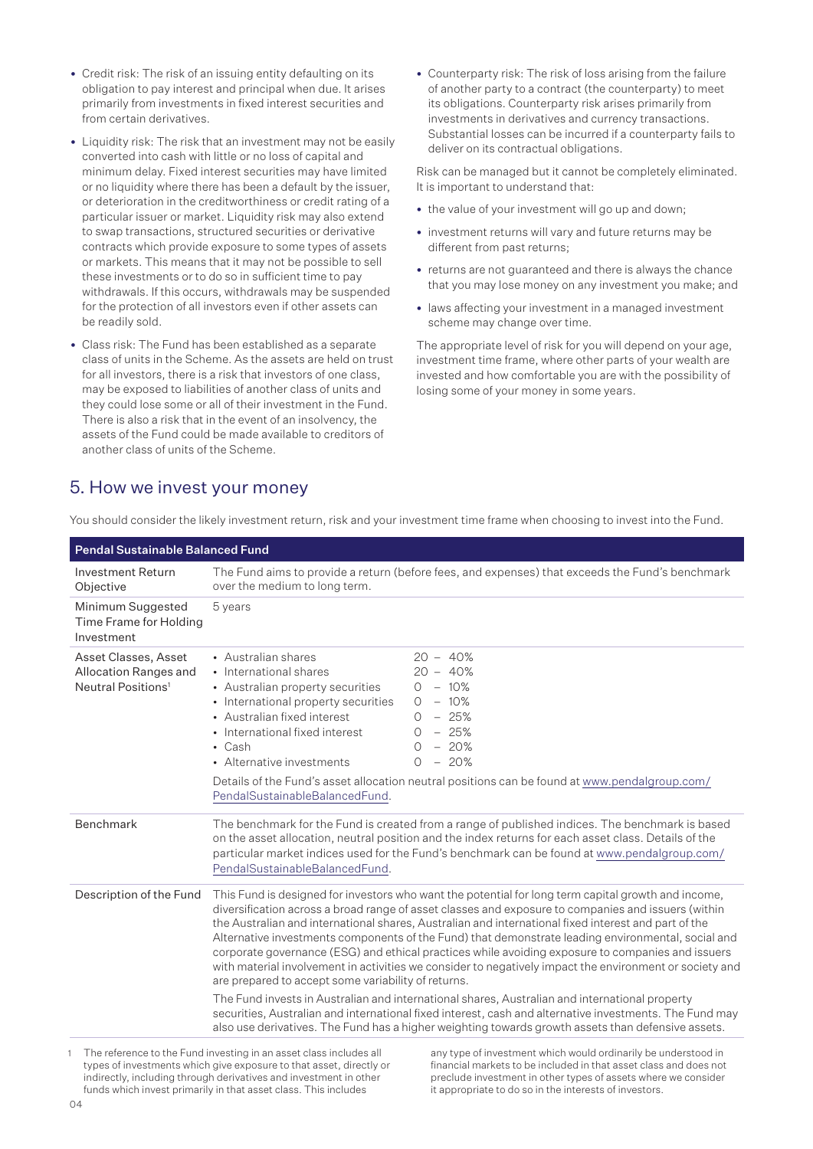- Credit risk: The risk of an issuing entity defaulting on its obligation to pay interest and principal when due. It arises primarily from investments in fixed interest securities and from certain derivatives.
- Liquidity risk: The risk that an investment may not be easily converted into cash with little or no loss of capital and minimum delay. Fixed interest securities may have limited or no liquidity where there has been a default by the issuer, or deterioration in the creditworthiness or credit rating of a particular issuer or market. Liquidity risk may also extend to swap transactions, structured securities or derivative contracts which provide exposure to some types of assets or markets. This means that it may not be possible to sell these investments or to do so in sufficient time to pay withdrawals. If this occurs, withdrawals may be suspended for the protection of all investors even if other assets can be readily sold.
- Class risk: The Fund has been established as a separate class of units in the Scheme. As the assets are held on trust for all investors, there is a risk that investors of one class, may be exposed to liabilities of another class of units and they could lose some or all of their investment in the Fund. There is also a risk that in the event of an insolvency, the assets of the Fund could be made available to creditors of another class of units of the Scheme.

• Counterparty risk: The risk of loss arising from the failure of another party to a contract (the counterparty) to meet its obligations. Counterparty risk arises primarily from investments in derivatives and currency transactions. Substantial losses can be incurred if a counterparty fails to deliver on its contractual obligations.

Risk can be managed but it cannot be completely eliminated. It is important to understand that:

- the value of your investment will go up and down;
- investment returns will vary and future returns may be different from past returns;
- returns are not guaranteed and there is always the chance that you may lose money on any investment you make; and
- laws affecting your investment in a managed investment scheme may change over time.

The appropriate level of risk for you will depend on your age, investment time frame, where other parts of your wealth are invested and how comfortable you are with the possibility of losing some of your money in some years.

### 5. How we invest your money

| <b>Pendal Sustainable Balanced Fund</b>                                         |                                                                                                                                                                                                                                                                                                                                                                                                                                                                                                                                                                                                                                                                                                 |                                                                                                                                                                                                                                                                                                                 |  |
|---------------------------------------------------------------------------------|-------------------------------------------------------------------------------------------------------------------------------------------------------------------------------------------------------------------------------------------------------------------------------------------------------------------------------------------------------------------------------------------------------------------------------------------------------------------------------------------------------------------------------------------------------------------------------------------------------------------------------------------------------------------------------------------------|-----------------------------------------------------------------------------------------------------------------------------------------------------------------------------------------------------------------------------------------------------------------------------------------------------------------|--|
| <b>Investment Return</b><br>Objective                                           | The Fund aims to provide a return (before fees, and expenses) that exceeds the Fund's benchmark<br>over the medium to long term.                                                                                                                                                                                                                                                                                                                                                                                                                                                                                                                                                                |                                                                                                                                                                                                                                                                                                                 |  |
| Minimum Suggested<br>Time Frame for Holding<br>Investment                       | 5 years                                                                                                                                                                                                                                                                                                                                                                                                                                                                                                                                                                                                                                                                                         |                                                                                                                                                                                                                                                                                                                 |  |
| Asset Classes, Asset<br>Allocation Ranges and<br>Neutral Positions <sup>1</sup> | • Australian shares<br>• International shares<br>• Australian property securities<br>• International property securities<br>• Australian fixed interest<br>• International fixed interest<br>$\cdot$ Cash<br>• Alternative investments<br>PendalSustainableBalancedFund.                                                                                                                                                                                                                                                                                                                                                                                                                        | $20 - 40\%$<br>$20 - 40%$<br>$0 - 10\%$<br>$0 - 10\%$<br>$0 - 25%$<br>$0 - 25%$<br>$-20%$<br>0<br>$0 - 20%$<br>Details of the Fund's asset allocation neutral positions can be found at www.pendalgroup.com/                                                                                                    |  |
| <b>Benchmark</b>                                                                | The benchmark for the Fund is created from a range of published indices. The benchmark is based<br>on the asset allocation, neutral position and the index returns for each asset class. Details of the<br>particular market indices used for the Fund's benchmark can be found at www.pendalgroup.com/<br>PendalSustainableBalancedFund.                                                                                                                                                                                                                                                                                                                                                       |                                                                                                                                                                                                                                                                                                                 |  |
| Description of the Fund                                                         | This Fund is designed for investors who want the potential for long term capital growth and income,<br>diversification across a broad range of asset classes and exposure to companies and issuers (within<br>the Australian and international shares, Australian and international fixed interest and part of the<br>Alternative investments components of the Fund) that demonstrate leading environmental, social and<br>corporate governance (ESG) and ethical practices while avoiding exposure to companies and issuers<br>with material involvement in activities we consider to negatively impact the environment or society and<br>are prepared to accept some variability of returns. |                                                                                                                                                                                                                                                                                                                 |  |
|                                                                                 |                                                                                                                                                                                                                                                                                                                                                                                                                                                                                                                                                                                                                                                                                                 | The Fund invests in Australian and international shares, Australian and international property<br>securities, Australian and international fixed interest, cash and alternative investments. The Fund may<br>also use derivatives. The Fund has a higher weighting towards growth assets than defensive assets. |  |
|                                                                                 |                                                                                                                                                                                                                                                                                                                                                                                                                                                                                                                                                                                                                                                                                                 | The reference to the Eund investiga in an accet class includes all convertion of investment which would ordinarily be understood in                                                                                                                                                                             |  |

You should consider the likely investment return, risk and your investment time frame when choosing to invest into the Fund.

1 The reference to the Fund investing in an asset class includes all types of investments which give exposure to that asset, directly or indirectly, including through derivatives and investment in other funds which invest primarily in that asset class. This includes

any type of investment which would ordinarily be understood in financial markets to be included in that asset class and does not preclude investment in other types of assets where we consider it appropriate to do so in the interests of investors.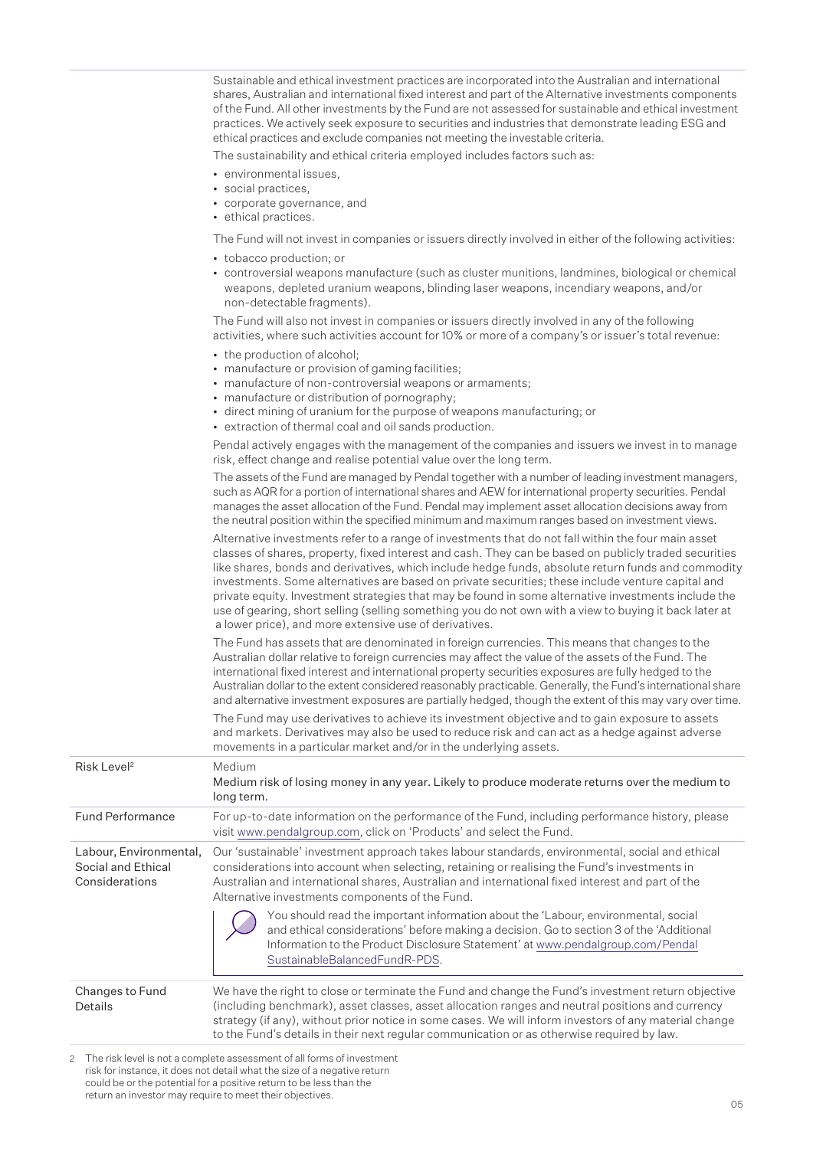Sustainable and ethical investment practices are incorporated into the Australian and international shares, Australian and international fixed interest and part of the Alternative investments components of the Fund. All other investments by the Fund are not assessed for sustainable and ethical investment practices. We actively seek exposure to securities and industries that demonstrate leading ESG and ethical practices and exclude companies not meeting the investable criteria.

The sustainability and ethical criteria employed includes factors such as:

- environmental issues,
- social practices,
- corporate governance, and
- ethical practices.

The Fund will not invest in companies or issuers directly involved in either of the following activities:

- tobacco production; or
- controversial weapons manufacture (such as cluster munitions, landmines, biological or chemical weapons, depleted uranium weapons, blinding laser weapons, incendiary weapons, and/or non-detectable fragments).

The Fund will also not invest in companies or issuers directly involved in any of the following activities, where such activities account for 10% or more of a company's or issuer's total revenue:

- the production of alcohol:
- manufacture or provision of gaming facilities;
- manufacture of non-controversial weapons or armaments;
- manufacture or distribution of pornography;
- direct mining of uranium for the purpose of weapons manufacturing; or
- extraction of thermal coal and oil sands production.

Pendal actively engages with the management of the companies and issuers we invest in to manage risk, effect change and realise potential value over the long term.

The assets of the Fund are managed by Pendal together with a number of leading investment managers, such as AQR for a portion of international shares and AEW for international property securities. Pendal manages the asset allocation of the Fund. Pendal may implement asset allocation decisions away from the neutral position within the specified minimum and maximum ranges based on investment views.

Alternative investments refer to a range of investments that do not fall within the four main asset classes of shares, property, fixed interest and cash. They can be based on publicly traded securities like shares, bonds and derivatives, which include hedge funds, absolute return funds and commodity investments. Some alternatives are based on private securities; these include venture capital and private equity. Investment strategies that may be found in some alternative investments include the use of gearing, short selling (selling something you do not own with a view to buying it back later at a lower price), and more extensive use of derivatives.

The Fund has assets that are denominated in foreign currencies. This means that changes to the Australian dollar relative to foreign currencies may affect the value of the assets of the Fund. The international fixed interest and international property securities exposures are fully hedged to the Australian dollar to the extent considered reasonably practicable. Generally, the Fund's international share and alternative investment exposures are partially hedged, though the extent of this may vary over time.

The Fund may use derivatives to achieve its investment objective and to gain exposure to assets and markets. Derivatives may also be used to reduce risk and can act as a hedge against adverse movements in a particular market and/or in the underlying assets.

| Risk Level <sup>2</sup>                                        | Medium<br>Medium risk of losing money in any year. Likely to produce moderate returns over the medium to<br>long term.                                                                                                                                                                                                                                                                                                                                                                                                                   |  |
|----------------------------------------------------------------|------------------------------------------------------------------------------------------------------------------------------------------------------------------------------------------------------------------------------------------------------------------------------------------------------------------------------------------------------------------------------------------------------------------------------------------------------------------------------------------------------------------------------------------|--|
| <b>Fund Performance</b>                                        | For up-to-date information on the performance of the Fund, including performance history, please<br>visit www.pendalgroup.com, click on 'Products' and select the Fund.                                                                                                                                                                                                                                                                                                                                                                  |  |
| Labour, Environmental,<br>Social and Ethical<br>Considerations | Our 'sustainable' investment approach takes labour standards, environmental, social and ethical<br>considerations into account when selecting, retaining or realising the Fund's investments in<br>Australian and international shares, Australian and international fixed interest and part of the<br>Alternative investments components of the Fund.<br>You should read the important information about the 'Labour, environmental, social<br>and ethical considerations' before making a decision. Go to section 3 of the 'Additional |  |
|                                                                | Information to the Product Disclosure Statement' at www.pendalgroup.com/Pendal<br>SustainableBalancedFundR-PDS.                                                                                                                                                                                                                                                                                                                                                                                                                          |  |
| Changes to Fund<br><b>Details</b>                              | We have the right to close or terminate the Fund and change the Fund's investment return objective<br>(including benchmark), asset classes, asset allocation ranges and neutral positions and currency<br>strategy (if any), without prior notice in some cases. We will inform investors of any material change<br>to the Fund's details in their next regular communication or as otherwise required by law.                                                                                                                           |  |
|                                                                |                                                                                                                                                                                                                                                                                                                                                                                                                                                                                                                                          |  |

2 The risk level is not a complete assessment of all forms of investment risk for instance, it does not detail what the size of a negative return could be or the potential for a positive return to be less than the return an investor may require to meet their objectives.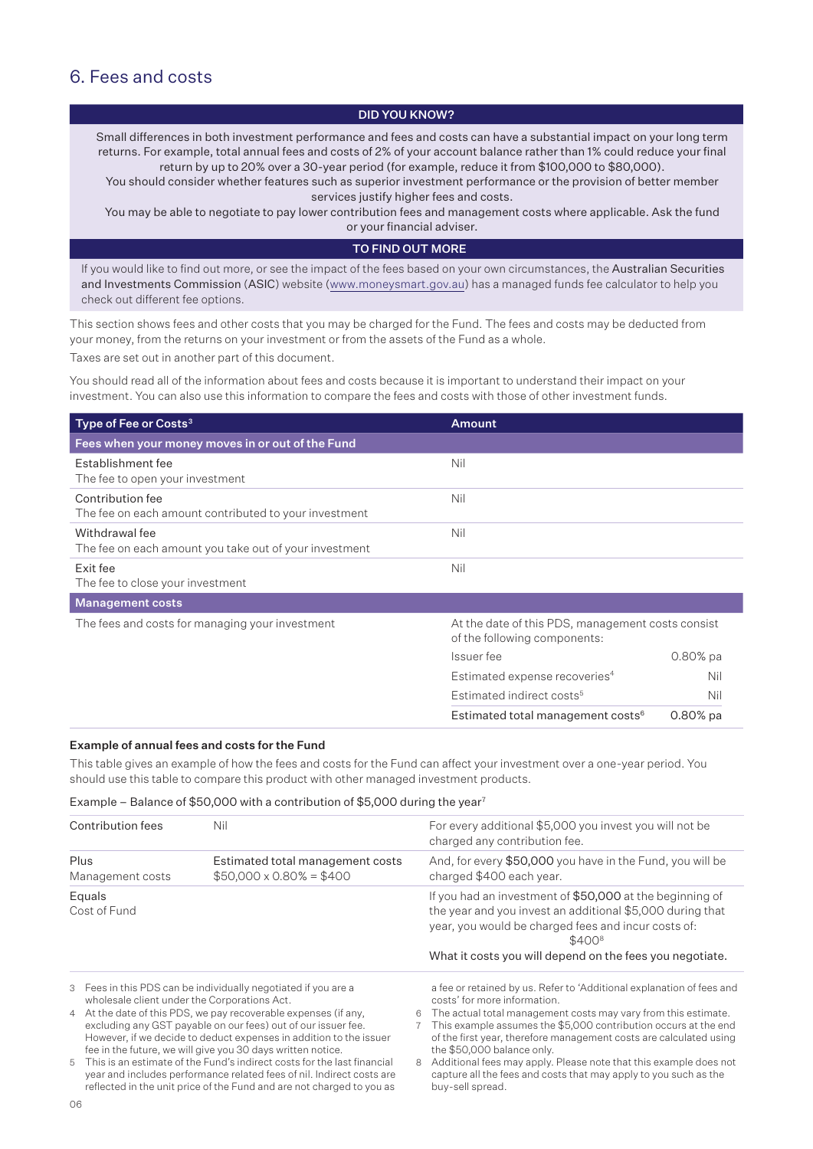### 6. Fees and costs

### DID YOU KNOW?

Small differences in both investment performance and fees and costs can have a substantial impact on your long term returns. For example, total annual fees and costs of 2% of your account balance rather than 1% could reduce your final return by up to 20% over a 30-year period (for example, reduce it from \$100,000 to \$80,000).

You should consider whether features such as superior investment performance or the provision of better member services justify higher fees and costs.

You may be able to negotiate to pay lower contribution fees and management costs where applicable. Ask the fund

or your financial adviser.

### TO FIND OUT MORE

If you would like to find out more, or see the impact of the fees based on your own circumstances, the Australian Securities and Investments Commission (ASIC) website (www.moneysmart.gov.au) has a managed funds fee calculator to help you check out different fee options.

This section shows fees and other costs that you may be charged for the Fund. The fees and costs may be deducted from your money, from the returns on your investment or from the assets of the Fund as a whole.

Taxes are set out in another part of this document.

You should read all of the information about fees and costs because it is important to understand their impact on your investment. You can also use this information to compare the fees and costs with those of other investment funds.

| Type of Fee or Costs <sup>3</sup>                                         | <b>Amount</b>                                                                     |            |
|---------------------------------------------------------------------------|-----------------------------------------------------------------------------------|------------|
| Fees when your money moves in or out of the Fund                          |                                                                                   |            |
| Establishment fee<br>The fee to open your investment                      | Nil                                                                               |            |
| Contribution fee<br>The fee on each amount contributed to your investment | Nil                                                                               |            |
| Withdrawal fee<br>The fee on each amount you take out of your investment  | Nil                                                                               |            |
| Exit fee<br>The fee to close your investment                              | Nil                                                                               |            |
| <b>Management costs</b>                                                   |                                                                                   |            |
| The fees and costs for managing your investment                           | At the date of this PDS, management costs consist<br>of the following components: |            |
|                                                                           | Issuer fee                                                                        | $0.80%$ pa |
|                                                                           | Estimated expense recoveries <sup>4</sup>                                         | Nil        |
|                                                                           | Estimated indirect costs <sup>5</sup>                                             | Nil        |
|                                                                           | Estimated total management costs <sup>6</sup>                                     | $0.80%$ pa |

### Example of annual fees and costs for the Fund

This table gives an example of how the fees and costs for the Fund can affect your investment over a one-year period. You should use this table to compare this product with other managed investment products.

### Example – Balance of \$50,000 with a contribution of \$5,000 during the year<sup>7</sup>

| Contribution fees                                                                                                                | Nil                                                                |   | For every additional \$5,000 you invest you will not be<br>charged any contribution fee.                                                                                               |
|----------------------------------------------------------------------------------------------------------------------------------|--------------------------------------------------------------------|---|----------------------------------------------------------------------------------------------------------------------------------------------------------------------------------------|
| Plus<br>Management costs                                                                                                         | Estimated total management costs<br>$$50,000 \times 0.80\% = $400$ |   | And, for every \$50,000 you have in the Fund, you will be<br>charged \$400 each year.                                                                                                  |
| Equals<br>Cost of Fund                                                                                                           |                                                                    |   | If you had an investment of \$50,000 at the beginning of<br>the year and you invest an additional \$5,000 during that<br>year, you would be charged fees and incur costs of:<br>\$4008 |
|                                                                                                                                  |                                                                    |   | What it costs you will depend on the fees you negotiate.                                                                                                                               |
| 3 Fees in this PDS can be individually negotiated if you are a<br>wholesale client under the Corporations Act.                   |                                                                    |   | a fee or retained by us. Refer to 'Additional explanation of fees and<br>costs' for more information.                                                                                  |
| 4 At the date of this PDS, we pay recoverable expenses (if any,<br>excluding any GST payable on our fees) out of our issuer fee. |                                                                    | 6 | The actual total management costs may vary from this estimate.<br>This example assumes the \$5,000 contribution occurs at the end                                                      |

excluding any GST payable on our fees) out of our issuer fee. However, if we decide to deduct expenses in addition to the issuer fee in the future, we will give you 30 days written notice.

5 This is an estimate of the Fund's indirect costs for the last financial year and includes performance related fees of nil. Indirect costs are reflected in the unit price of the Fund and are not charged to you as

8 Additional fees may apply. Please note that this example does not capture all the fees and costs that may apply to you such as the buy-sell spread.

the \$50,000 balance only.

of the first year, therefore management costs are calculated using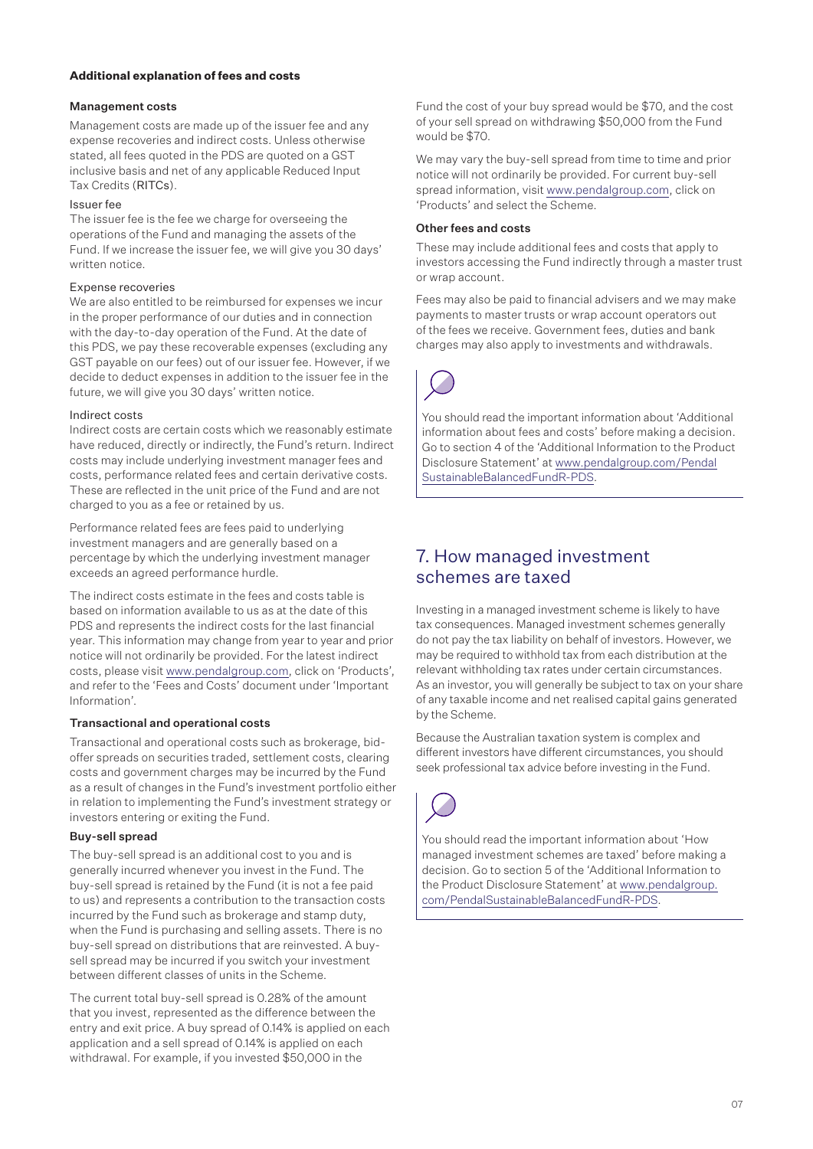### **Additional explanation of fees and costs**

### Management costs

Management costs are made up of the issuer fee and any expense recoveries and indirect costs. Unless otherwise stated, all fees quoted in the PDS are quoted on a GST inclusive basis and net of any applicable Reduced Input Tax Credits (RITCs).

### Issuer fee

The issuer fee is the fee we charge for overseeing the operations of the Fund and managing the assets of the Fund. If we increase the issuer fee, we will give you 30 days' written notice.

### Expense recoveries

We are also entitled to be reimbursed for expenses we incur in the proper performance of our duties and in connection with the day-to-day operation of the Fund. At the date of this PDS, we pay these recoverable expenses (excluding any GST payable on our fees) out of our issuer fee. However, if we decide to deduct expenses in addition to the issuer fee in the future, we will give you 30 days' written notice.

### Indirect costs

Indirect costs are certain costs which we reasonably estimate have reduced, directly or indirectly, the Fund's return. Indirect costs may include underlying investment manager fees and costs, performance related fees and certain derivative costs. These are reflected in the unit price of the Fund and are not charged to you as a fee or retained by us.

Performance related fees are fees paid to underlying investment managers and are generally based on a percentage by which the underlying investment manager exceeds an agreed performance hurdle.

The indirect costs estimate in the fees and costs table is based on information available to us as at the date of this PDS and represents the indirect costs for the last financial year. This information may change from year to year and prior notice will not ordinarily be provided. For the latest indirect costs, please visit www.pendalgroup.com, click on 'Products', and refer to the 'Fees and Costs' document under 'Important Information'.

### Transactional and operational costs

Transactional and operational costs such as brokerage, bidoffer spreads on securities traded, settlement costs, clearing costs and government charges may be incurred by the Fund as a result of changes in the Fund's investment portfolio either in relation to implementing the Fund's investment strategy or investors entering or exiting the Fund.

### Buy-sell spread

The buy-sell spread is an additional cost to you and is generally incurred whenever you invest in the Fund. The buy-sell spread is retained by the Fund (it is not a fee paid to us) and represents a contribution to the transaction costs incurred by the Fund such as brokerage and stamp duty, when the Fund is purchasing and selling assets. There is no buy-sell spread on distributions that are reinvested. A buysell spread may be incurred if you switch your investment between different classes of units in the Scheme.

The current total buy-sell spread is 0.28% of the amount that you invest, represented as the difference between the entry and exit price. A buy spread of 0.14% is applied on each application and a sell spread of 0.14% is applied on each withdrawal. For example, if you invested \$50,000 in the

Fund the cost of your buy spread would be \$70, and the cost of your sell spread on withdrawing \$50,000 from the Fund would be \$70.

We may vary the buy-sell spread from time to time and prior notice will not ordinarily be provided. For current buy-sell spread information, visit www.pendalgroup.com, click on 'Products' and select the Scheme.

### Other fees and costs

These may include additional fees and costs that apply to investors accessing the Fund indirectly through a master trust or wrap account.

Fees may also be paid to financial advisers and we may make payments to master trusts or wrap account operators out of the fees we receive. Government fees, duties and bank charges may also apply to investments and withdrawals.



You should read the important information about 'Additional information about fees and costs' before making a decision. Go to section 4 of the 'Additional Information to the Product Disclosure Statement' at [www.pendalgroup.com/Pendal](www.pendalgroup.com/PendalSustainableBalancedFundR-PDS) [SustainableBalancedFundR-PDS.](www.pendalgroup.com/PendalSustainableBalancedFundR-PDS)

### 7. How managed investment schemes are taxed

Investing in a managed investment scheme is likely to have tax consequences. Managed investment schemes generally do not pay the tax liability on behalf of investors. However, we may be required to withhold tax from each distribution at the relevant withholding tax rates under certain circumstances. As an investor, you will generally be subject to tax on your share of any taxable income and net realised capital gains generated by the Scheme.

Because the Australian taxation system is complex and different investors have different circumstances, you should seek professional tax advice before investing in the Fund.



You should read the important information about 'How managed investment schemes are taxed' before making a decision. Go to section 5 of the 'Additional Information to the Product Disclosure Statement' at [www.pendalgroup.](www.pendalgroup.com/PendalSustainableBalancedFundR-PDS) [com/PendalSustainableBalancedFundR-PDS.](www.pendalgroup.com/PendalSustainableBalancedFundR-PDS)